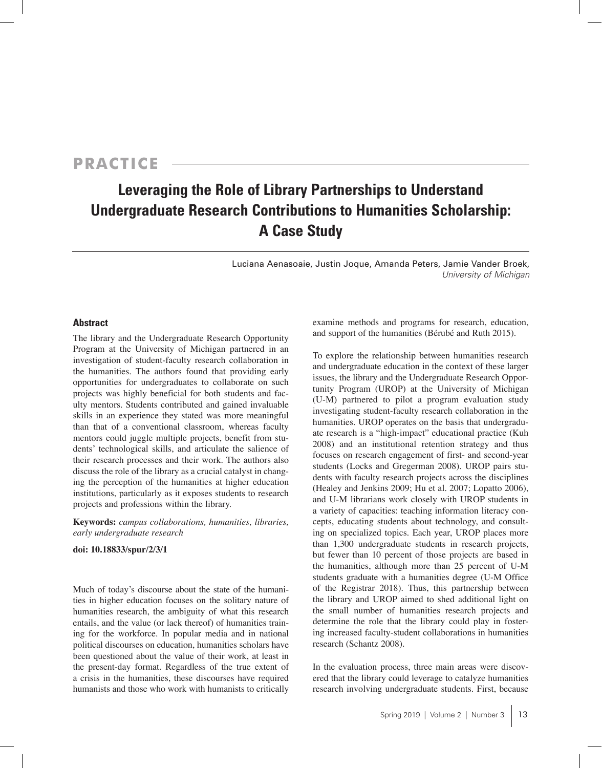# **PRACTICE**

# **Leveraging the Role of Library Partnerships to Understand Undergraduate Research Contributions to Humanities Scholarship: A Case Study**

Luciana Aenasoaie, Justin Joque, Amanda Peters, Jamie Vander Broek, *University of Michigan*

# **Abstract**

The library and the Undergraduate Research Opportunity Program at the University of Michigan partnered in an investigation of student-faculty research collaboration in the humanities. The authors found that providing early opportunities for undergraduates to collaborate on such projects was highly beneficial for both students and faculty mentors. Students contributed and gained invaluable skills in an experience they stated was more meaningful than that of a conventional classroom, whereas faculty mentors could juggle multiple projects, benefit from students' technological skills, and articulate the salience of their research processes and their work. The authors also discuss the role of the library as a crucial catalyst in changing the perception of the humanities at higher education institutions, particularly as it exposes students to research projects and professions within the library.

**Keywords:** *campus collaborations, humanities, libraries, early undergraduate research*

#### **doi: 10.18833/spur/2/3/1**

Much of today's discourse about the state of the humanities in higher education focuses on the solitary nature of humanities research, the ambiguity of what this research entails, and the value (or lack thereof) of humanities training for the workforce. In popular media and in national political discourses on education, humanities scholars have been questioned about the value of their work, at least in the present-day format. Regardless of the true extent of a crisis in the humanities, these discourses have required humanists and those who work with humanists to critically

examine methods and programs for research, education, and support of the humanities (Bérubé and Ruth 2015).

To explore the relationship between humanities research and undergraduate education in the context of these larger issues, the library and the Undergraduate Research Opportunity Program (UROP) at the University of Michigan (U-M) partnered to pilot a program evaluation study investigating student-faculty research collaboration in the humanities. UROP operates on the basis that undergraduate research is a "high-impact" educational practice (Kuh 2008) and an institutional retention strategy and thus focuses on research engagement of first- and second-year students (Locks and Gregerman 2008). UROP pairs students with faculty research projects across the disciplines (Healey and Jenkins 2009; Hu et al. 2007; Lopatto 2006), and U-M librarians work closely with UROP students in a variety of capacities: teaching information literacy concepts, educating students about technology, and consulting on specialized topics. Each year, UROP places more than 1,300 undergraduate students in research projects, but fewer than 10 percent of those projects are based in the humanities, although more than 25 percent of U-M students graduate with a humanities degree (U-M Office of the Registrar 2018). Thus, this partnership between the library and UROP aimed to shed additional light on the small number of humanities research projects and determine the role that the library could play in fostering increased faculty-student collaborations in humanities research (Schantz 2008).

In the evaluation process, three main areas were discovered that the library could leverage to catalyze humanities research involving undergraduate students. First, because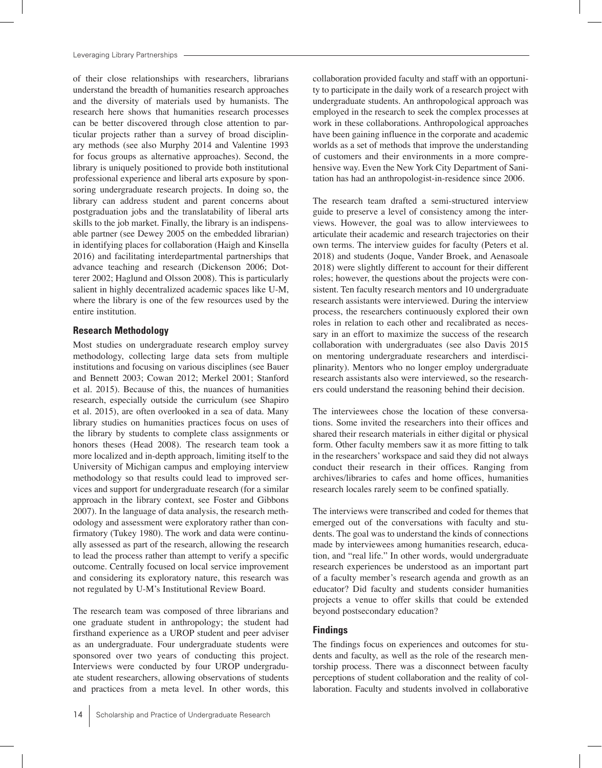of their close relationships with researchers, librarians understand the breadth of humanities research approaches and the diversity of materials used by humanists. The research here shows that humanities research processes can be better discovered through close attention to particular projects rather than a survey of broad disciplinary methods (see also Murphy 2014 and Valentine 1993 for focus groups as alternative approaches). Second, the library is uniquely positioned to provide both institutional professional experience and liberal arts exposure by sponsoring undergraduate research projects. In doing so, the library can address student and parent concerns about postgraduation jobs and the translatability of liberal arts skills to the job market. Finally, the library is an indispensable partner (see Dewey 2005 on the embedded librarian) in identifying places for collaboration (Haigh and Kinsella 2016) and facilitating interdepartmental partnerships that advance teaching and research (Dickenson 2006; Dotterer 2002; Haglund and Olsson 2008). This is particularly salient in highly decentralized academic spaces like U-M, where the library is one of the few resources used by the entire institution.

## **Research Methodology**

Most studies on undergraduate research employ survey methodology, collecting large data sets from multiple institutions and focusing on various disciplines (see Bauer and Bennett 2003; Cowan 2012; Merkel 2001; Stanford et al. 2015). Because of this, the nuances of humanities research, especially outside the curriculum (see Shapiro et al. 2015), are often overlooked in a sea of data. Many library studies on humanities practices focus on uses of the library by students to complete class assignments or honors theses (Head 2008). The research team took a more localized and in-depth approach, limiting itself to the University of Michigan campus and employing interview methodology so that results could lead to improved services and support for undergraduate research (for a similar approach in the library context, see Foster and Gibbons 2007). In the language of data analysis, the research methodology and assessment were exploratory rather than confirmatory (Tukey 1980). The work and data were continually assessed as part of the research, allowing the research to lead the process rather than attempt to verify a specific outcome. Centrally focused on local service improvement and considering its exploratory nature, this research was not regulated by U-M's Institutional Review Board.

The research team was composed of three librarians and one graduate student in anthropology; the student had firsthand experience as a UROP student and peer adviser as an undergraduate. Four undergraduate students were sponsored over two years of conducting this project. Interviews were conducted by four UROP undergraduate student researchers, allowing observations of students and practices from a meta level. In other words, this

Scholarship and Practice of Undergraduate Research

collaboration provided faculty and staff with an opportunity to participate in the daily work of a research project with undergraduate students. An anthropological approach was employed in the research to seek the complex processes at work in these collaborations. Anthropological approaches have been gaining influence in the corporate and academic worlds as a set of methods that improve the understanding of customers and their environments in a more comprehensive way. Even the New York City Department of Sanitation has had an anthropologist-in-residence since 2006.

The research team drafted a semi-structured interview guide to preserve a level of consistency among the interviews. However, the goal was to allow interviewees to articulate their academic and research trajectories on their own terms. The interview guides for faculty (Peters et al. 2018) and students (Joque, Vander Broek, and Aenasoale 2018) were slightly different to account for their different roles; however, the questions about the projects were consistent. Ten faculty research mentors and 10 undergraduate research assistants were interviewed. During the interview process, the researchers continuously explored their own roles in relation to each other and recalibrated as necessary in an effort to maximize the success of the research collaboration with undergraduates (see also Davis 2015 on mentoring undergraduate researchers and interdisciplinarity). Mentors who no longer employ undergraduate research assistants also were interviewed, so the researchers could understand the reasoning behind their decision.

The interviewees chose the location of these conversations. Some invited the researchers into their offices and shared their research materials in either digital or physical form. Other faculty members saw it as more fitting to talk in the researchers' workspace and said they did not always conduct their research in their offices. Ranging from archives/libraries to cafes and home offices, humanities research locales rarely seem to be confined spatially.

The interviews were transcribed and coded for themes that emerged out of the conversations with faculty and students. The goal was to understand the kinds of connections made by interviewees among humanities research, education, and "real life." In other words, would undergraduate research experiences be understood as an important part of a faculty member's research agenda and growth as an educator? Did faculty and students consider humanities projects a venue to offer skills that could be extended beyond postsecondary education?

# **Findings**

The findings focus on experiences and outcomes for students and faculty, as well as the role of the research mentorship process. There was a disconnect between faculty perceptions of student collaboration and the reality of collaboration. Faculty and students involved in collaborative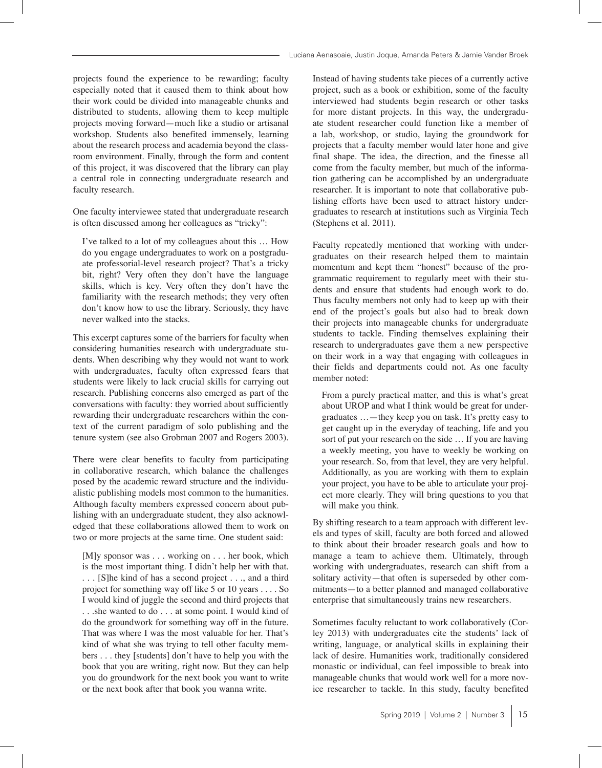projects found the experience to be rewarding; faculty especially noted that it caused them to think about how their work could be divided into manageable chunks and distributed to students, allowing them to keep multiple projects moving forward—much like a studio or artisanal workshop. Students also benefited immensely, learning about the research process and academia beyond the classroom environment. Finally, through the form and content of this project, it was discovered that the library can play a central role in connecting undergraduate research and faculty research.

One faculty interviewee stated that undergraduate research is often discussed among her colleagues as "tricky":

 I've talked to a lot of my colleagues about this … How do you engage undergraduates to work on a postgraduate professorial-level research project? That's a tricky bit, right? Very often they don't have the language skills, which is key. Very often they don't have the familiarity with the research methods; they very often don't know how to use the library. Seriously, they have never walked into the stacks.

This excerpt captures some of the barriers for faculty when considering humanities research with undergraduate students. When describing why they would not want to work with undergraduates, faculty often expressed fears that students were likely to lack crucial skills for carrying out research. Publishing concerns also emerged as part of the conversations with faculty: they worried about sufficiently rewarding their undergraduate researchers within the context of the current paradigm of solo publishing and the tenure system (see also Grobman 2007 and Rogers 2003).

There were clear benefits to faculty from participating in collaborative research, which balance the challenges posed by the academic reward structure and the individualistic publishing models most common to the humanities. Although faculty members expressed concern about publishing with an undergraduate student, they also acknowledged that these collaborations allowed them to work on two or more projects at the same time. One student said:

 [M]y sponsor was . . . working on . . . her book, which is the most important thing. I didn't help her with that. . . . [S]he kind of has a second project . . ., and a third project for something way off like 5 or 10 years . . . . So I would kind of juggle the second and third projects that . . .she wanted to do . . . at some point. I would kind of do the groundwork for something way off in the future. That was where I was the most valuable for her. That's kind of what she was trying to tell other faculty members . . . they [students] don't have to help you with the book that you are writing, right now. But they can help you do groundwork for the next book you want to write or the next book after that book you wanna write.

Instead of having students take pieces of a currently active project, such as a book or exhibition, some of the faculty interviewed had students begin research or other tasks for more distant projects. In this way, the undergraduate student researcher could function like a member of a lab, workshop, or studio, laying the groundwork for projects that a faculty member would later hone and give final shape. The idea, the direction, and the finesse all come from the faculty member, but much of the information gathering can be accomplished by an undergraduate researcher. It is important to note that collaborative publishing efforts have been used to attract history undergraduates to research at institutions such as Virginia Tech (Stephens et al. 2011).

Faculty repeatedly mentioned that working with undergraduates on their research helped them to maintain momentum and kept them "honest" because of the programmatic requirement to regularly meet with their students and ensure that students had enough work to do. Thus faculty members not only had to keep up with their end of the project's goals but also had to break down their projects into manageable chunks for undergraduate students to tackle. Finding themselves explaining their research to undergraduates gave them a new perspective on their work in a way that engaging with colleagues in their fields and departments could not. As one faculty member noted:

 From a purely practical matter, and this is what's great about UROP and what I think would be great for undergraduates …—they keep you on task. It's pretty easy to get caught up in the everyday of teaching, life and you sort of put your research on the side … If you are having a weekly meeting, you have to weekly be working on your research. So, from that level, they are very helpful. Additionally, as you are working with them to explain your project, you have to be able to articulate your project more clearly. They will bring questions to you that will make you think.

By shifting research to a team approach with different levels and types of skill, faculty are both forced and allowed to think about their broader research goals and how to manage a team to achieve them. Ultimately, through working with undergraduates, research can shift from a solitary activity—that often is superseded by other commitments—to a better planned and managed collaborative enterprise that simultaneously trains new researchers.

Sometimes faculty reluctant to work collaboratively (Corley 2013) with undergraduates cite the students' lack of writing, language, or analytical skills in explaining their lack of desire. Humanities work, traditionally considered monastic or individual, can feel impossible to break into manageable chunks that would work well for a more novice researcher to tackle. In this study, faculty benefited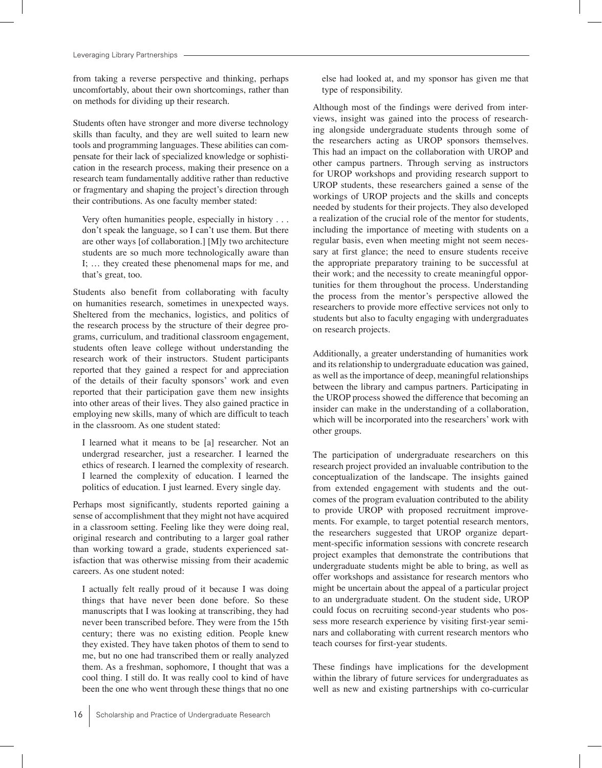from taking a reverse perspective and thinking, perhaps uncomfortably, about their own shortcomings, rather than on methods for dividing up their research.

Students often have stronger and more diverse technology skills than faculty, and they are well suited to learn new tools and programming languages. These abilities can compensate for their lack of specialized knowledge or sophistication in the research process, making their presence on a research team fundamentally additive rather than reductive or fragmentary and shaping the project's direction through their contributions. As one faculty member stated:

 Very often humanities people, especially in history . . . don't speak the language, so I can't use them. But there are other ways [of collaboration.] [M]y two architecture students are so much more technologically aware than I; … they created these phenomenal maps for me, and that's great, too.

Students also benefit from collaborating with faculty on humanities research, sometimes in unexpected ways. Sheltered from the mechanics, logistics, and politics of the research process by the structure of their degree programs, curriculum, and traditional classroom engagement, students often leave college without understanding the research work of their instructors. Student participants reported that they gained a respect for and appreciation of the details of their faculty sponsors' work and even reported that their participation gave them new insights into other areas of their lives. They also gained practice in employing new skills, many of which are difficult to teach in the classroom. As one student stated:

 I learned what it means to be [a] researcher. Not an undergrad researcher, just a researcher. I learned the ethics of research. I learned the complexity of research. I learned the complexity of education. I learned the politics of education. I just learned. Every single day.

Perhaps most significantly, students reported gaining a sense of accomplishment that they might not have acquired in a classroom setting. Feeling like they were doing real, original research and contributing to a larger goal rather than working toward a grade, students experienced satisfaction that was otherwise missing from their academic careers. As one student noted:

 I actually felt really proud of it because I was doing things that have never been done before. So these manuscripts that I was looking at transcribing, they had never been transcribed before. They were from the 15th century; there was no existing edition. People knew they existed. They have taken photos of them to send to me, but no one had transcribed them or really analyzed them. As a freshman, sophomore, I thought that was a cool thing. I still do. It was really cool to kind of have been the one who went through these things that no one

else had looked at, and my sponsor has given me that type of responsibility.

Although most of the findings were derived from interviews, insight was gained into the process of researching alongside undergraduate students through some of the researchers acting as UROP sponsors themselves. This had an impact on the collaboration with UROP and other campus partners. Through serving as instructors for UROP workshops and providing research support to UROP students, these researchers gained a sense of the workings of UROP projects and the skills and concepts needed by students for their projects. They also developed a realization of the crucial role of the mentor for students, including the importance of meeting with students on a regular basis, even when meeting might not seem necessary at first glance; the need to ensure students receive the appropriate preparatory training to be successful at their work; and the necessity to create meaningful opportunities for them throughout the process. Understanding the process from the mentor's perspective allowed the researchers to provide more effective services not only to students but also to faculty engaging with undergraduates on research projects.

Additionally, a greater understanding of humanities work and its relationship to undergraduate education was gained, as well as the importance of deep, meaningful relationships between the library and campus partners. Participating in the UROP process showed the difference that becoming an insider can make in the understanding of a collaboration, which will be incorporated into the researchers' work with other groups.

The participation of undergraduate researchers on this research project provided an invaluable contribution to the conceptualization of the landscape. The insights gained from extended engagement with students and the outcomes of the program evaluation contributed to the ability to provide UROP with proposed recruitment improvements. For example, to target potential research mentors, the researchers suggested that UROP organize department-specific information sessions with concrete research project examples that demonstrate the contributions that undergraduate students might be able to bring, as well as offer workshops and assistance for research mentors who might be uncertain about the appeal of a particular project to an undergraduate student. On the student side, UROP could focus on recruiting second-year students who possess more research experience by visiting first-year seminars and collaborating with current research mentors who teach courses for first-year students.

These findings have implications for the development within the library of future services for undergraduates as well as new and existing partnerships with co-curricular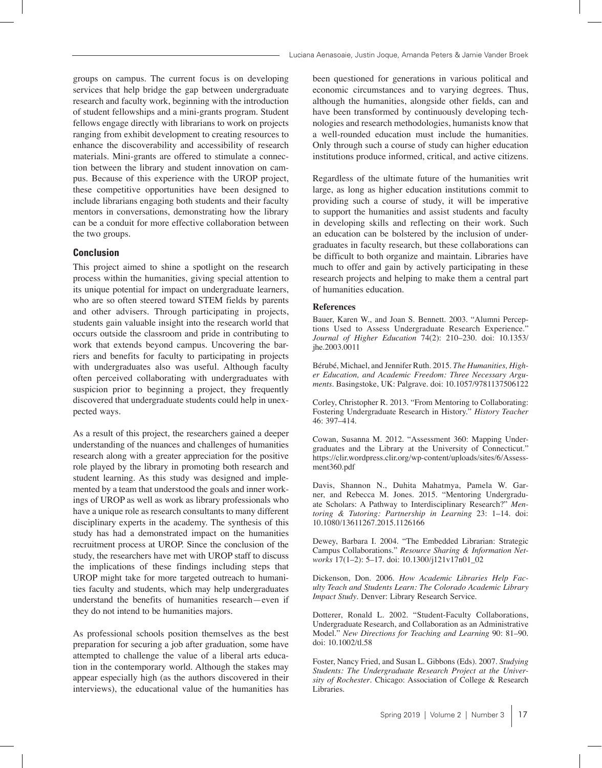groups on campus. The current focus is on developing services that help bridge the gap between undergraduate research and faculty work, beginning with the introduction of student fellowships and a mini-grants program. Student fellows engage directly with librarians to work on projects ranging from exhibit development to creating resources to enhance the discoverability and accessibility of research materials. Mini-grants are offered to stimulate a connection between the library and student innovation on campus. Because of this experience with the UROP project, these competitive opportunities have been designed to include librarians engaging both students and their faculty mentors in conversations, demonstrating how the library can be a conduit for more effective collaboration between the two groups.

### **Conclusion**

This project aimed to shine a spotlight on the research process within the humanities, giving special attention to its unique potential for impact on undergraduate learners, who are so often steered toward STEM fields by parents and other advisers. Through participating in projects, students gain valuable insight into the research world that occurs outside the classroom and pride in contributing to work that extends beyond campus. Uncovering the barriers and benefits for faculty to participating in projects with undergraduates also was useful. Although faculty often perceived collaborating with undergraduates with suspicion prior to beginning a project, they frequently discovered that undergraduate students could help in unexpected ways.

As a result of this project, the researchers gained a deeper understanding of the nuances and challenges of humanities research along with a greater appreciation for the positive role played by the library in promoting both research and student learning. As this study was designed and implemented by a team that understood the goals and inner workings of UROP as well as work as library professionals who have a unique role as research consultants to many different disciplinary experts in the academy. The synthesis of this study has had a demonstrated impact on the humanities recruitment process at UROP. Since the conclusion of the study, the researchers have met with UROP staff to discuss the implications of these findings including steps that UROP might take for more targeted outreach to humanities faculty and students, which may help undergraduates understand the benefits of humanities research—even if they do not intend to be humanities majors.

As professional schools position themselves as the best preparation for securing a job after graduation, some have attempted to challenge the value of a liberal arts education in the contemporary world. Although the stakes may appear especially high (as the authors discovered in their interviews), the educational value of the humanities has

been questioned for generations in various political and economic circumstances and to varying degrees. Thus, although the humanities, alongside other fields, can and have been transformed by continuously developing technologies and research methodologies, humanists know that a well-rounded education must include the humanities. Only through such a course of study can higher education institutions produce informed, critical, and active citizens.

Regardless of the ultimate future of the humanities writ large, as long as higher education institutions commit to providing such a course of study, it will be imperative to support the humanities and assist students and faculty in developing skills and reflecting on their work. Such an education can be bolstered by the inclusion of undergraduates in faculty research, but these collaborations can be difficult to both organize and maintain. Libraries have much to offer and gain by actively participating in these research projects and helping to make them a central part of humanities education.

#### **References**

Bauer, Karen W., and Joan S. Bennett. 2003. "Alumni Perceptions Used to Assess Undergraduate Research Experience." *Journal of Higher Education* 74(2): 210–230. doi: 10.1353/ jhe.2003.0011

Bérubé, Michael, and Jennifer Ruth. 2015. *The Humanities, Higher Education, and Academic Freedom: Three Necessary Arguments*. Basingstoke, UK: Palgrave. doi: 10.1057/9781137506122

Corley, Christopher R. 2013. "From Mentoring to Collaborating: Fostering Undergraduate Research in History." *History Teacher* 46: 397–414.

Cowan, Susanna M. 2012. "Assessment 360: Mapping Undergraduates and the Library at the University of Connecticut." https://clir.wordpress.clir.org/wp-content/uploads/sites/6/Assessment360.pdf

Davis, Shannon N., Duhita Mahatmya, Pamela W. Garner, and Rebecca M. Jones. 2015. "Mentoring Undergraduate Scholars: A Pathway to Interdisciplinary Research?" *Mentoring & Tutoring: Partnership in Learning* 23: 1–14. doi: 10.1080/13611267.2015.1126166

Dewey, Barbara I. 2004. "The Embedded Librarian: Strategic Campus Collaborations." *Resource Sharing & Information Networks* 17(1–2): 5–17. doi: 10.1300/j121v17n01\_02

Dickenson, Don. 2006. *How Academic Libraries Help Faculty Teach and Students Learn: The Colorado Academic Library Impact Study*. Denver: Library Research Service.

Dotterer, Ronald L. 2002. "Student-Faculty Collaborations, Undergraduate Research, and Collaboration as an Administrative Model." *New Directions for Teaching and Learning* 90: 81–90. doi: 10.1002/tl.58

Foster, Nancy Fried, and Susan L. Gibbons (Eds). 2007. *Studying Students: The Undergraduate Research Project at the University of Rochester*. Chicago: Association of College & Research Libraries.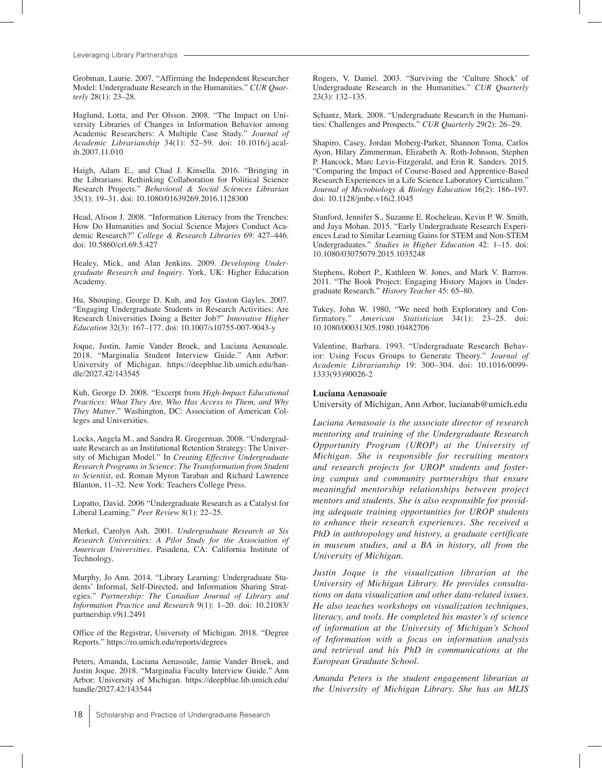Leveraging Library Partnerships

Grobman, Laurie. 2007. "Affirming the Independent Researcher Model: Undergraduate Research in the Humanities." *CUR Quarterly* 28(1): 23–28.

Haglund, Lotta, and Per Olsson. 2008. "The Impact on University Libraries of Changes in Information Behavior among Academic Researchers: A Multiple Case Study." *Journal of Academic Librarianship* 34(1): 52–59. doi: 10.1016/j.acalib.2007.11.010

Haigh, Adam E., and Chad J. Kinsella. 2016. "Bringing in the Librarians: Rethinking Collaboration for Political Science Research Projects." *Behavioral & Social Sciences Librarian* 35(1): 19–31. doi: 10.1080/01639269.2016.1128300

Head, Alison J. 2008. "Information Literacy from the Trenches: How Do Humanities and Social Science Majors Conduct Academic Research?" *College & Research Libraries* 69: 427–446. doi: 10.5860/crl.69.5.427

Healey, Mick, and Alan Jenkins. 2009. *Developing Undergraduate Research and Inquiry*. York, UK: Higher Education Academy.

Hu, Shouping, George D. Kuh, and Joy Gaston Gayles. 2007. "Engaging Undergraduate Students in Research Activities: Are Research Universities Doing a Better Job?" *Innovative Higher Education* 32(3): 167–177. doi: 10.1007/s10755-007-9043-y

Joque, Justin, Jamie Vander Broek, and Luciana Aenasoale. 2018. "Marginalia Student Interview Guide." Ann Arbor: University of Michigan. https://deepblue.lib.umich.edu/handle/2027.42/143545

Kuh, George D. 2008. "Excerpt from *High-Impact Educational Practices: What They Are, Who Has Access to Them, and Why They Matter*." Washington, DC: Association of American Colleges and Universities.

Locks, Angela M., and Sandra R. Gregerman. 2008. "Undergraduate Research as an Institutional Retention Strategy: The University of Michigan Model." In *Creating Effective Undergraduate Research Programs in Science: The Transformation from Student to Scientist*, ed. Roman Myron Taraban and Richard Lawrence Blanton, 11–32. New York: Teachers College Press.

Lopatto, David. 2006 "Undergraduate Research as a Catalyst for Liberal Learning." *Peer Review* 8(1): 22–25.

Merkel, Carolyn Ash. 2001. *Undergraduate Research at Six Research Universities: A Pilot Study for the Association of American Universities*. Pasadena, CA: California Institute of Technology.

Murphy, Jo Ann. 2014. "Library Learning: Undergraduate Students' Informal, Self-Directed, and Information Sharing Strategies." *Partnership: The Canadian Journal of Library and Information Practice and Research* 9(1): 1–20. doi: 10.21083/ partnership.v9i1.2491

Office of the Registrar, University of Michigan. 2018. "Degree Reports." https://ro.umich.edu/reports/degrees

Peters, Amanda, Luciana Aenasoale, Jamie Vander Broek, and Justin Joque. 2018. "Marginalia Faculty Interview Guide." Ann Arbor: University of Michigan. https://deepblue.lib.umich.edu/ handle/2027.42/143544

Rogers, V. Daniel. 2003. "Surviving the 'Culture Shock' of Undergraduate Research in the Humanities." *CUR Quarterly* 23(3): 132–135.

Schantz, Mark. 2008. "Undergraduate Research in the Humanities: Challenges and Prospects." *CUR Quarterly* 29(2): 26–29.

Shapiro, Casey, Jordan Moberg-Parker, Shannon Toma, Carlos Ayon, Hilary Zimmerman, Elizabeth A. Roth-Johnson, Stephen P. Hancock, Marc Levis-Fitzgerald, and Erin R. Sanders. 2015. "Comparing the Impact of Course-Based and Apprentice-Based Research Experiences in a Life Science Laboratory Curriculum." *Journal of Microbiology & Biology Education* 16(2): 186–197. doi: 10.1128/jmbe.v16i2.1045

Stanford, Jennifer S., Suzanne E. Rocheleau, Kevin P. W. Smith, and Jaya Mohan. 2015. "Early Undergraduate Research Experiences Lead to Similar Learning Gains for STEM and Non-STEM Undergraduates." *Studies in Higher Education* 42: 1–15. doi: 10.1080/03075079.2015.1035248

Stephens, Robert P., Kathleen W. Jones, and Mark V. Barrow. 2011. "The Book Project: Engaging History Majors in Undergraduate Research." *History Teacher* 45: 65–80.

Tukey, John W. 1980, "We need both Exploratory and Confirmatory." *American Statistician* 34(1): 23–25. doi: 10.1080/00031305.1980.10482706

Valentine, Barbara. 1993. "Undergraduate Research Behavior: Using Focus Groups to Generate Theory." *Journal of Academic Librarianship* 19: 300–304. doi: 10.1016/0099- 1333(93)90026-2

#### **Luciana Aenasoaie**

University of Michigan, Ann Arbor, lucianab@umich.edu

*Luciana Aenasoaie is the associate director of research mentoring and training of the Undergraduate Research Opportunity Program (UROP) at the University of Michigan. She is responsible for recruiting mentors and research projects for UROP students and fostering campus and community partnerships that ensure meaningful mentorship relationships between project mentors and students. She is also responsible for providing adequate training opportunities for UROP students to enhance their research experiences. She received a PhD in anthropology and history, a graduate certificate in museum studies, and a BA in history, all from the University of Michigan.*

*Justin Joque is the visualization librarian at the University of Michigan Library. He provides consultations on data visualization and other data-related issues. He also teaches workshops on visualization techniques, literacy, and tools. He completed his master's of science of information at the University of Michigan's School of Information with a focus on information analysis and retrieval and his PhD in communications at the European Graduate School.*

*Amanda Peters is the student engagement librarian at the University of Michigan Library. She has an MLIS*